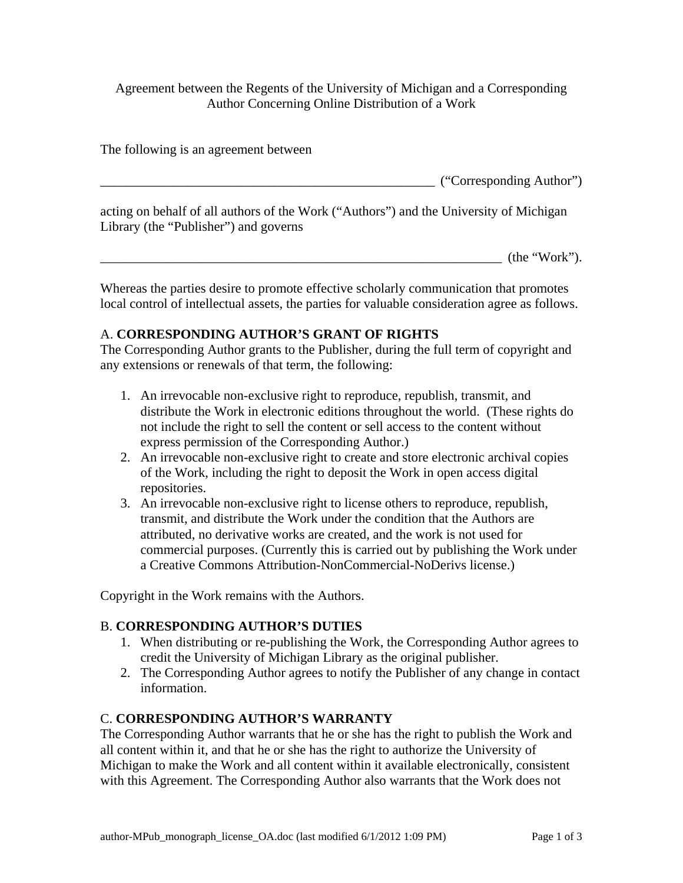Agreement between the Regents of the University of Michigan and a Corresponding Author Concerning Online Distribution of a Work

The following is an agreement between

 $('Corresponding Author")$ 

acting on behalf of all authors of the Work ("Authors") and the University of Michigan Library (the "Publisher") and governs

 $(\text{the "Work").}$ 

Whereas the parties desire to promote effective scholarly communication that promotes local control of intellectual assets, the parties for valuable consideration agree as follows.

## A. **CORRESPONDING AUTHOR'S GRANT OF RIGHTS**

The Corresponding Author grants to the Publisher, during the full term of copyright and any extensions or renewals of that term, the following:

- 1. An irrevocable non-exclusive right to reproduce, republish, transmit, and distribute the Work in electronic editions throughout the world. (These rights do not include the right to sell the content or sell access to the content without express permission of the Corresponding Author.)
- 2. An irrevocable non-exclusive right to create and store electronic archival copies of the Work, including the right to deposit the Work in open access digital repositories.
- 3. An irrevocable non-exclusive right to license others to reproduce, republish, transmit, and distribute the Work under the condition that the Authors are attributed, no derivative works are created, and the work is not used for commercial purposes. (Currently this is carried out by publishing the Work under a Creative Commons Attribution-NonCommercial-NoDerivs license.)

Copyright in the Work remains with the Authors.

#### B. **CORRESPONDING AUTHOR'S DUTIES**

- 1. When distributing or re-publishing the Work, the Corresponding Author agrees to credit the University of Michigan Library as the original publisher.
- 2. The Corresponding Author agrees to notify the Publisher of any change in contact information.

#### C. **CORRESPONDING AUTHOR'S WARRANTY**

The Corresponding Author warrants that he or she has the right to publish the Work and all content within it, and that he or she has the right to authorize the University of Michigan to make the Work and all content within it available electronically, consistent with this Agreement. The Corresponding Author also warrants that the Work does not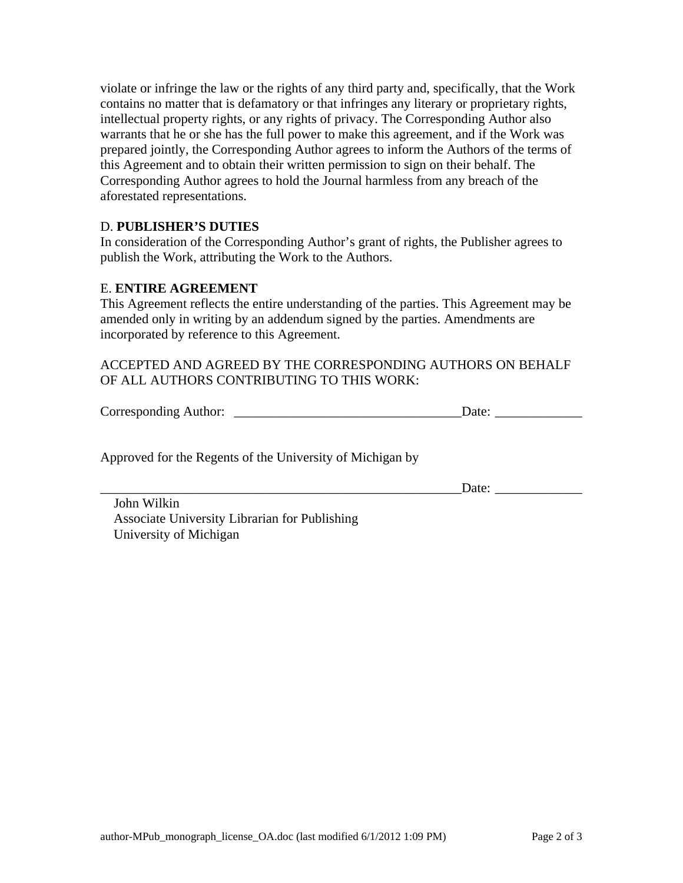violate or infringe the law or the rights of any third party and, specifically, that the Work contains no matter that is defamatory or that infringes any literary or proprietary rights, intellectual property rights, or any rights of privacy. The Corresponding Author also warrants that he or she has the full power to make this agreement, and if the Work was prepared jointly, the Corresponding Author agrees to inform the Authors of the terms of this Agreement and to obtain their written permission to sign on their behalf. The Corresponding Author agrees to hold the Journal harmless from any breach of the aforestated representations.

## D. **PUBLISHER'S DUTIES**

In consideration of the Corresponding Author's grant of rights, the Publisher agrees to publish the Work, attributing the Work to the Authors.

## E. **ENTIRE AGREEMENT**

This Agreement reflects the entire understanding of the parties. This Agreement may be amended only in writing by an addendum signed by the parties. Amendments are incorporated by reference to this Agreement.

## ACCEPTED AND AGREED BY THE CORRESPONDING AUTHORS ON BEHALF OF ALL AUTHORS CONTRIBUTING TO THIS WORK:

| Corresponding Author:<br>Jate <sup>.</sup> |
|--------------------------------------------|
|--------------------------------------------|

Approved for the Regents of the University of Michigan by

Date:

 John Wilkin Associate University Librarian for Publishing University of Michigan